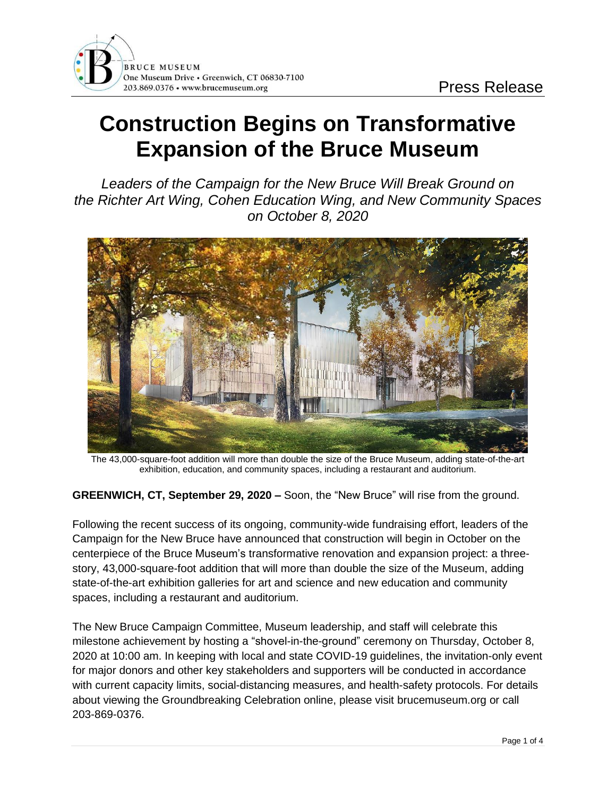## **Construction Begins on Transformative Expansion of the Bruce Museum**

*Leaders of the Campaign for the New Bruce Will Break Ground on the Richter Art Wing, Cohen Education Wing, and New Community Spaces on October 8, 2020*



The 43,000-square-foot addition will more than double the size of the Bruce Museum, adding state-of-the-art exhibition, education, and community spaces, including a restaurant and auditorium.

**GREENWICH, CT, September 29, 2020 –** Soon, the "New Bruce" will rise from the ground.

Following the recent success of its ongoing, community-wide fundraising effort, leaders of the Campaign for the New Bruce have announced that construction will begin in October on the centerpiece of the Bruce Museum's transformative renovation and expansion project: a threestory, 43,000-square-foot addition that will more than double the size of the Museum, adding state-of-the-art exhibition galleries for art and science and new education and community spaces, including a restaurant and auditorium.

The New Bruce Campaign Committee, Museum leadership, and staff will celebrate this milestone achievement by hosting a "shovel-in-the-ground" ceremony on Thursday, October 8, 2020 at 10:00 am. In keeping with local and state COVID-19 guidelines, the invitation-only event for major donors and other key stakeholders and supporters will be conducted in accordance with current capacity limits, social-distancing measures, and health-safety protocols. For details about viewing the Groundbreaking Celebration online, please visit brucemuseum.org or call 203-869-0376.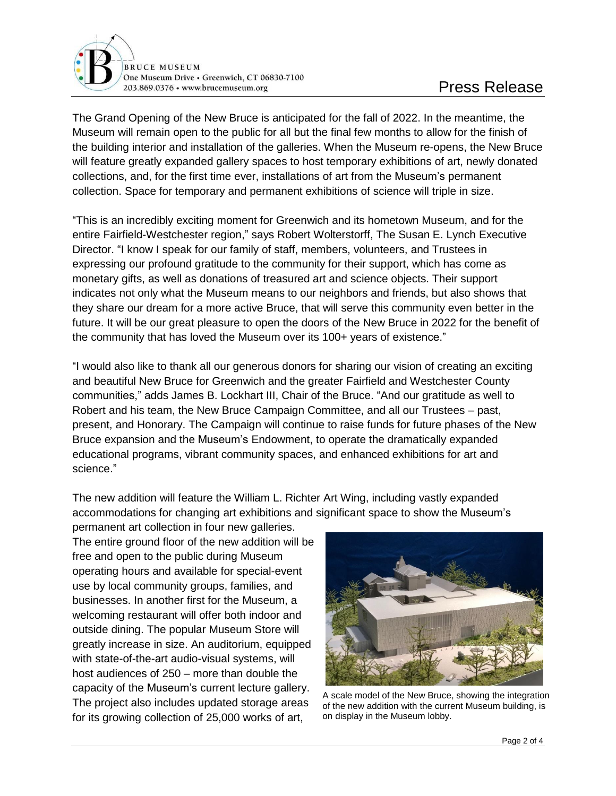

The Grand Opening of the New Bruce is anticipated for the fall of 2022. In the meantime, the Museum will remain open to the public for all but the final few months to allow for the finish of the building interior and installation of the galleries. When the Museum re-opens, the New Bruce will feature greatly expanded gallery spaces to host temporary exhibitions of art, newly donated collections, and, for the first time ever, installations of art from the Museum's permanent collection. Space for temporary and permanent exhibitions of science will triple in size.

"This is an incredibly exciting moment for Greenwich and its hometown Museum, and for the entire Fairfield-Westchester region," says Robert Wolterstorff, The Susan E. Lynch Executive Director. "I know I speak for our family of staff, members, volunteers, and Trustees in expressing our profound gratitude to the community for their support, which has come as monetary gifts, as well as donations of treasured art and science objects. Their support indicates not only what the Museum means to our neighbors and friends, but also shows that they share our dream for a more active Bruce, that will serve this community even better in the future. It will be our great pleasure to open the doors of the New Bruce in 2022 for the benefit of the community that has loved the Museum over its 100+ years of existence."

"I would also like to thank all our generous donors for sharing our vision of creating an exciting and beautiful New Bruce for Greenwich and the greater Fairfield and Westchester County communities," adds James B. Lockhart III, Chair of the Bruce. "And our gratitude as well to Robert and his team, the New Bruce Campaign Committee, and all our Trustees – past, present, and Honorary. The Campaign will continue to raise funds for future phases of the New Bruce expansion and the Museum's Endowment, to operate the dramatically expanded educational programs, vibrant community spaces, and enhanced exhibitions for art and science."

The new addition will feature the William L. Richter Art Wing, including vastly expanded accommodations for changing art exhibitions and significant space to show the Museum's

permanent art collection in four new galleries. The entire ground floor of the new addition will be free and open to the public during Museum operating hours and available for special-event use by local community groups, families, and businesses. In another first for the Museum, a welcoming restaurant will offer both indoor and outside dining. The popular Museum Store will greatly increase in size. An auditorium, equipped with state-of-the-art audio-visual systems, will host audiences of 250 – more than double the capacity of the Museum's current lecture gallery. The project also includes updated storage areas for its growing collection of 25,000 works of art,



A scale model of the New Bruce, showing the integration of the new addition with the current Museum building, is on display in the Museum lobby.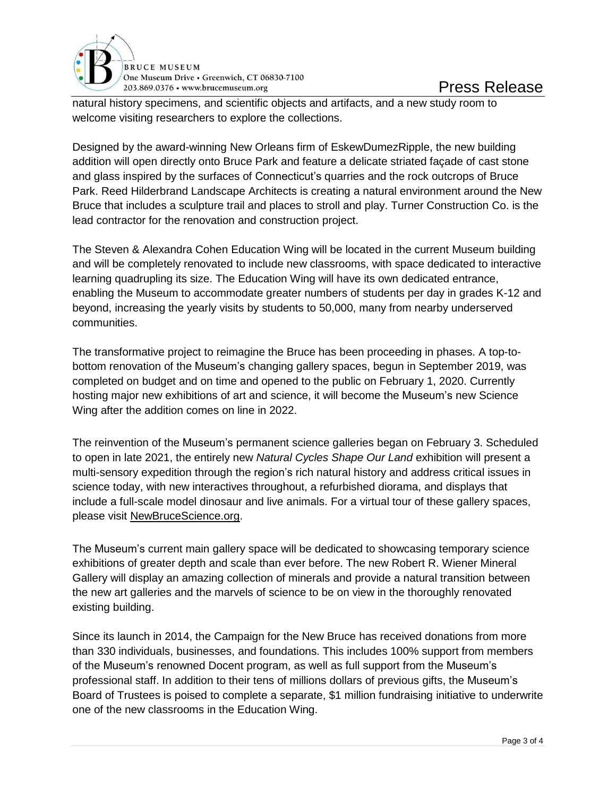

natural history specimens, and scientific objects and artifacts, and a new study room to welcome visiting researchers to explore the collections.

Designed by the award-winning New Orleans firm of EskewDumezRipple, the new building addition will open directly onto Bruce Park and feature a delicate striated façade of cast stone and glass inspired by the surfaces of Connecticut's quarries and the rock outcrops of Bruce Park. Reed Hilderbrand Landscape Architects is creating a natural environment around the New Bruce that includes a sculpture trail and places to stroll and play. Turner Construction Co. is the lead contractor for the renovation and construction project.

The Steven & Alexandra Cohen Education Wing will be located in the current Museum building and will be completely renovated to include new classrooms, with space dedicated to interactive learning quadrupling its size. The Education Wing will have its own dedicated entrance, enabling the Museum to accommodate greater numbers of students per day in grades K-12 and beyond, increasing the yearly visits by students to 50,000, many from nearby underserved communities.

The transformative project to reimagine the Bruce has been proceeding in phases. A top-tobottom renovation of the Museum's changing gallery spaces, begun in September 2019, was completed on budget and on time and opened to the public on February 1, 2020. Currently hosting major new exhibitions of art and science, it will become the Museum's new Science Wing after the addition comes on line in 2022.

The reinvention of the Museum's permanent science galleries began on February 3. Scheduled to open in late 2021, the entirely new *Natural Cycles Shape Our Land* exhibition will present a multi-sensory expedition through the region's rich natural history and address critical issues in science today, with new interactives throughout, a refurbished diorama, and displays that include a full-scale model dinosaur and live animals. For a virtual tour of these gallery spaces, please visit [NewBruceScience.org.](file:///C:/Users/ssmith/AppData/Local/Microsoft/Windows/INetCache/Content.Outlook/XZY4KLR7/NewBruceScience.org)

The Museum's current main gallery space will be dedicated to showcasing temporary science exhibitions of greater depth and scale than ever before. The new Robert R. Wiener Mineral Gallery will display an amazing collection of minerals and provide a natural transition between the new art galleries and the marvels of science to be on view in the thoroughly renovated existing building.

Since its launch in 2014, the Campaign for the New Bruce has received donations from more than 330 individuals, businesses, and foundations. This includes 100% support from members of the Museum's renowned Docent program, as well as full support from the Museum's professional staff. In addition to their tens of millions dollars of previous gifts, the Museum's Board of Trustees is poised to complete a separate, \$1 million fundraising initiative to underwrite one of the new classrooms in the Education Wing.